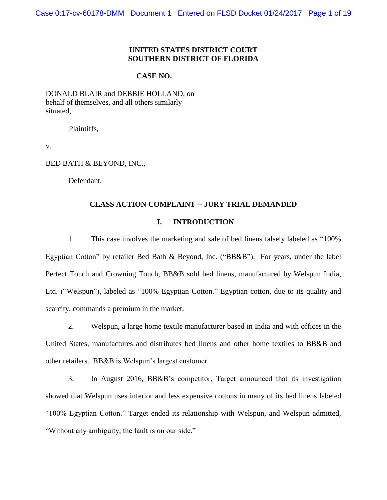#### **UNITED STATES DISTRICT COURT SOUTHERN DISTRICT OF FLORIDA**

#### **CASE NO.**

DONALD BLAIR and DEBBIE HOLLAND, on behalf of themselves, and all others similarly situated,

Plaintiffs,

v.

BED BATH & BEYOND, INC.,

Defendant.

#### **CLASS ACTION COMPLAINT -- JURY TRIAL DEMANDED**

#### **I. INTRODUCTION**

1. This case involves the marketing and sale of bed linens falsely labeled as "100% Egyptian Cotton" by retailer Bed Bath & Beyond, Inc. ("BB&B"). For years, under the label Perfect Touch and Crowning Touch, BB&B sold bed linens, manufactured by Welspun India, Ltd. ("Welspun"), labeled as "100% Egyptian Cotton." Egyptian cotton, due to its quality and scarcity, commands a premium in the market.

2. Welspun, a large home textile manufacturer based in India and with offices in the United States, manufactures and distributes bed linens and other home textiles to BB&B and other retailers. BB&B is Welspun's largest customer.

3. In August 2016, BB&B's competitor, Target announced that its investigation showed that Welspun uses inferior and less expensive cottons in many of its bed linens labeled "100% Egyptian Cotton." Target ended its relationship with Welspun, and Welspun admitted, "Without any ambiguity, the fault is on our side."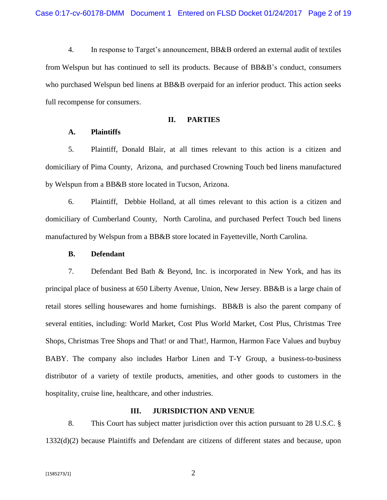4. In response to Target's announcement, BB&B ordered an external audit of textiles from Welspun but has continued to sell its products. Because of BB&B's conduct, consumers who purchased Welspun bed linens at BB&B overpaid for an inferior product. This action seeks full recompense for consumers.

#### **II. PARTIES**

#### **A. Plaintiffs**

5. Plaintiff, Donald Blair, at all times relevant to this action is a citizen and domiciliary of Pima County, Arizona, and purchased Crowning Touch bed linens manufactured by Welspun from a BB&B store located in Tucson, Arizona.

6. Plaintiff, Debbie Holland, at all times relevant to this action is a citizen and domiciliary of Cumberland County, North Carolina, and purchased Perfect Touch bed linens manufactured by Welspun from a BB&B store located in Fayetteville, North Carolina.

#### **B. Defendant**

7. Defendant Bed Bath & Beyond, Inc. is incorporated in New York, and has its principal place of business at 650 Liberty Avenue, Union, New Jersey. BB&B is a large chain of retail stores selling housewares and home furnishings. BB&B is also the parent company of several entities, including: World Market, Cost Plus World Market, Cost Plus, Christmas Tree Shops, Christmas Tree Shops and That! or and That!, Harmon, Harmon Face Values and buybuy BABY. The company also includes Harbor Linen and T-Y Group, a business-to-business distributor of a variety of textile products, amenities, and other goods to customers in the hospitality, cruise line, healthcare, and other industries.

# **III. JURISDICTION AND VENUE**

8. This Court has subject matter jurisdiction over this action pursuant to 28 U.S.C. § 1332(d)(2) because Plaintiffs and Defendant are citizens of different states and because, upon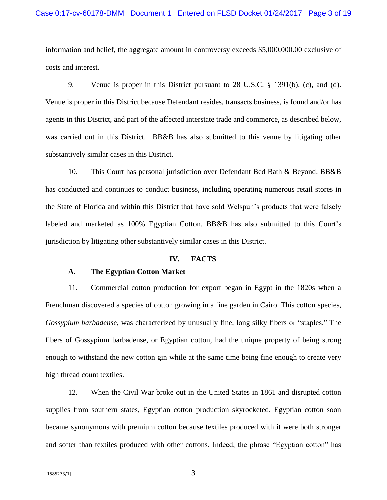information and belief, the aggregate amount in controversy exceeds \$5,000,000.00 exclusive of costs and interest.

9. Venue is proper in this District pursuant to 28 U.S.C. § 1391(b), (c), and (d). Venue is proper in this District because Defendant resides, transacts business, is found and/or has agents in this District, and part of the affected interstate trade and commerce, as described below, was carried out in this District. BB&B has also submitted to this venue by litigating other substantively similar cases in this District.

10. This Court has personal jurisdiction over Defendant Bed Bath & Beyond. BB&B has conducted and continues to conduct business, including operating numerous retail stores in the State of Florida and within this District that have sold Welspun's products that were falsely labeled and marketed as 100% Egyptian Cotton. BB&B has also submitted to this Court's jurisdiction by litigating other substantively similar cases in this District.

#### **IV. FACTS**

#### **A. The Egyptian Cotton Market**

11. Commercial cotton production for export began in Egypt in the 1820s when a Frenchman discovered a species of cotton growing in a fine garden in Cairo. This cotton species, *Gossypium barbadense*, was characterized by unusually fine, long silky fibers or "staples." The fibers of Gossypium barbadense, or Egyptian cotton, had the unique property of being strong enough to withstand the new cotton gin while at the same time being fine enough to create very high thread count textiles.

12. When the Civil War broke out in the United States in 1861 and disrupted cotton supplies from southern states, Egyptian cotton production skyrocketed. Egyptian cotton soon became synonymous with premium cotton because textiles produced with it were both stronger and softer than textiles produced with other cottons. Indeed, the phrase "Egyptian cotton" has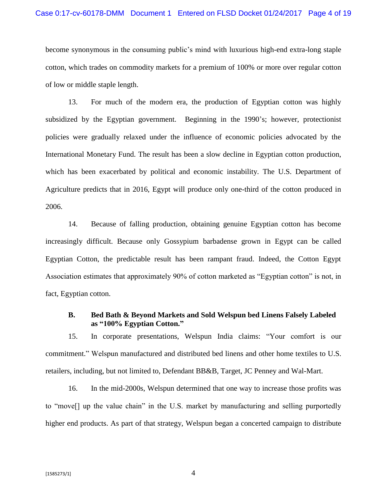become synonymous in the consuming public's mind with luxurious high-end extra-long staple cotton, which trades on commodity markets for a premium of 100% or more over regular cotton of low or middle staple length.

13. For much of the modern era, the production of Egyptian cotton was highly subsidized by the Egyptian government. Beginning in the 1990's; however, protectionist policies were gradually relaxed under the influence of economic policies advocated by the International Monetary Fund. The result has been a slow decline in Egyptian cotton production, which has been exacerbated by political and economic instability. The U.S. Department of Agriculture predicts that in 2016, Egypt will produce only one-third of the cotton produced in 2006.

14. Because of falling production, obtaining genuine Egyptian cotton has become increasingly difficult. Because only Gossypium barbadense grown in Egypt can be called Egyptian Cotton, the predictable result has been rampant fraud. Indeed, the Cotton Egypt Association estimates that approximately 90% of cotton marketed as "Egyptian cotton" is not, in fact, Egyptian cotton.

#### **B. Bed Bath & Beyond Markets and Sold Welspun bed Linens Falsely Labeled as "100% Egyptian Cotton."**

15. In corporate presentations, Welspun India claims: "Your comfort is our commitment." Welspun manufactured and distributed bed linens and other home textiles to U.S. retailers, including, but not limited to, Defendant BB&B, Target, JC Penney and Wal-Mart.

16. In the mid-2000s, Welspun determined that one way to increase those profits was to "move[] up the value chain" in the U.S. market by manufacturing and selling purportedly higher end products. As part of that strategy, Welspun began a concerted campaign to distribute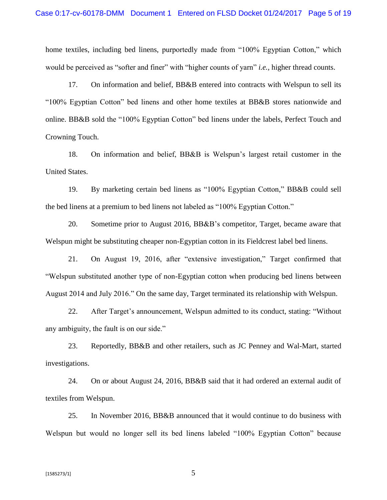home textiles, including bed linens, purportedly made from "100% Egyptian Cotton," which would be perceived as "softer and finer" with "higher counts of yarn" *i.e.,* higher thread counts.

17. On information and belief, BB&B entered into contracts with Welspun to sell its "100% Egyptian Cotton" bed linens and other home textiles at BB&B stores nationwide and online. BB&B sold the "100% Egyptian Cotton" bed linens under the labels, Perfect Touch and Crowning Touch.

18. On information and belief, BB&B is Welspun's largest retail customer in the United States.

19. By marketing certain bed linens as "100% Egyptian Cotton," BB&B could sell the bed linens at a premium to bed linens not labeled as "100% Egyptian Cotton."

20. Sometime prior to August 2016, BB&B's competitor, Target, became aware that Welspun might be substituting cheaper non-Egyptian cotton in its Fieldcrest label bed linens.

21. On August 19, 2016, after "extensive investigation," Target confirmed that "Welspun substituted another type of non-Egyptian cotton when producing bed linens between August 2014 and July 2016." On the same day, Target terminated its relationship with Welspun.

22. After Target's announcement, Welspun admitted to its conduct, stating: "Without any ambiguity, the fault is on our side."

23. Reportedly, BB&B and other retailers, such as JC Penney and Wal-Mart, started investigations.

24. On or about August 24, 2016, BB&B said that it had ordered an external audit of textiles from Welspun.

25. In November 2016, BB&B announced that it would continue to do business with Welspun but would no longer sell its bed linens labeled "100% Egyptian Cotton" because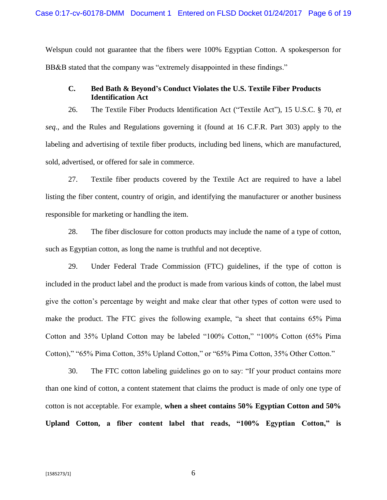Welspun could not guarantee that the fibers were 100% Egyptian Cotton. A spokesperson for BB&B stated that the company was "extremely disappointed in these findings."

# **C. Bed Bath & Beyond's Conduct Violates the U.S. Textile Fiber Products Identification Act**

26. The Textile Fiber Products Identification Act ("Textile Act"), 15 U.S.C. § 70, *et seq*., and the Rules and Regulations governing it (found at 16 C.F.R. Part 303) apply to the labeling and advertising of textile fiber products, including bed linens, which are manufactured, sold, advertised, or offered for sale in commerce.

27. Textile fiber products covered by the Textile Act are required to have a label listing the fiber content, country of origin, and identifying the manufacturer or another business responsible for marketing or handling the item.

28. The fiber disclosure for cotton products may include the name of a type of cotton, such as Egyptian cotton, as long the name is truthful and not deceptive.

29. Under Federal Trade Commission (FTC) guidelines, if the type of cotton is included in the product label and the product is made from various kinds of cotton, the label must give the cotton's percentage by weight and make clear that other types of cotton were used to make the product. The FTC gives the following example, "a sheet that contains 65% Pima Cotton and 35% Upland Cotton may be labeled "100% Cotton," "100% Cotton (65% Pima Cotton)," "65% Pima Cotton, 35% Upland Cotton," or "65% Pima Cotton, 35% Other Cotton."

30. The FTC cotton labeling guidelines go on to say: "If your product contains more than one kind of cotton, a content statement that claims the product is made of only one type of cotton is not acceptable. For example, **when a sheet contains 50% Egyptian Cotton and 50% Upland Cotton, a fiber content label that reads, "100% Egyptian Cotton," is**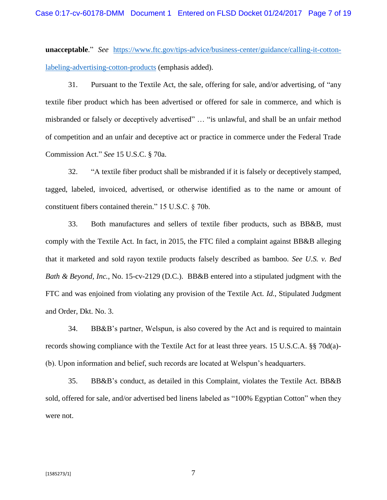**unacceptable**." *See* [https://www.ftc.gov/tips-advice/business-center/guidance/calling-it-cotton](https://www.ftc.gov/tips-advice/business-center/guidance/calling-it-cotton-labeling-advertising-cotton-products)[labeling-advertising-cotton-products](https://www.ftc.gov/tips-advice/business-center/guidance/calling-it-cotton-labeling-advertising-cotton-products) (emphasis added).

31. Pursuant to the Textile Act, the sale, offering for sale, and/or advertising, of "any textile fiber product which has been advertised or offered for sale in commerce, and which is misbranded or falsely or deceptively advertised" … "is unlawful, and shall be an unfair method of competition and an unfair and deceptive act or practice in commerce under the Federal Trade Commission Act." *See* 15 U.S.C. § 70a.

32. "A textile fiber product shall be misbranded if it is falsely or deceptively stamped, tagged, labeled, invoiced, advertised, or otherwise identified as to the name or amount of constituent fibers contained therein." 15 U.S.C. § 70b.

33. Both manufactures and sellers of textile fiber products, such as BB&B, must comply with the Textile Act. In fact, in 2015, the FTC filed a complaint against BB&B alleging that it marketed and sold rayon textile products falsely described as bamboo. *See U.S. v. Bed Bath & Beyond, Inc.*, No. 15-cv-2129 (D.C.). BB&B entered into a stipulated judgment with the FTC and was enjoined from violating any provision of the Textile Act. *Id.*, Stipulated Judgment and Order, Dkt. No. 3.

34. BB&B's partner, Welspun, is also covered by the Act and is required to maintain records showing compliance with the Textile Act for at least three years. 15 U.S.C.A. §§ 70d(a)- (b). Upon information and belief, such records are located at Welspun's headquarters.

35. BB&B's conduct, as detailed in this Complaint, violates the Textile Act. BB&B sold, offered for sale, and/or advertised bed linens labeled as "100% Egyptian Cotton" when they were not.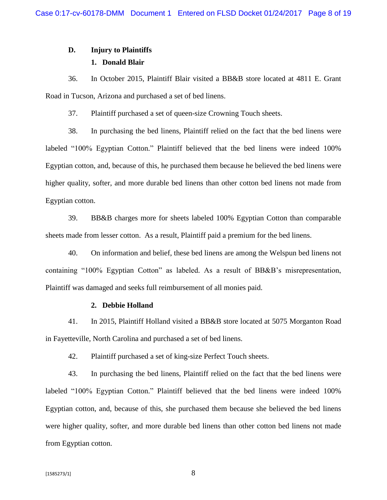# **D. Injury to Plaintiffs**

# **1. Donald Blair**

36. In October 2015, Plaintiff Blair visited a BB&B store located at 4811 E. Grant Road in Tucson, Arizona and purchased a set of bed linens.

37. Plaintiff purchased a set of queen-size Crowning Touch sheets.

38. In purchasing the bed linens, Plaintiff relied on the fact that the bed linens were labeled "100% Egyptian Cotton." Plaintiff believed that the bed linens were indeed 100% Egyptian cotton, and, because of this, he purchased them because he believed the bed linens were higher quality, softer, and more durable bed linens than other cotton bed linens not made from Egyptian cotton.

39. BB&B charges more for sheets labeled 100% Egyptian Cotton than comparable sheets made from lesser cotton. As a result, Plaintiff paid a premium for the bed linens.

40. On information and belief, these bed linens are among the Welspun bed linens not containing "100% Egyptian Cotton" as labeled. As a result of BB&B's misrepresentation, Plaintiff was damaged and seeks full reimbursement of all monies paid.

#### **2. Debbie Holland**

41. In 2015, Plaintiff Holland visited a BB&B store located at 5075 Morganton Road in Fayetteville, North Carolina and purchased a set of bed linens.

42. Plaintiff purchased a set of king-size Perfect Touch sheets.

43. In purchasing the bed linens, Plaintiff relied on the fact that the bed linens were labeled "100% Egyptian Cotton." Plaintiff believed that the bed linens were indeed 100% Egyptian cotton, and, because of this, she purchased them because she believed the bed linens were higher quality, softer, and more durable bed linens than other cotton bed linens not made from Egyptian cotton.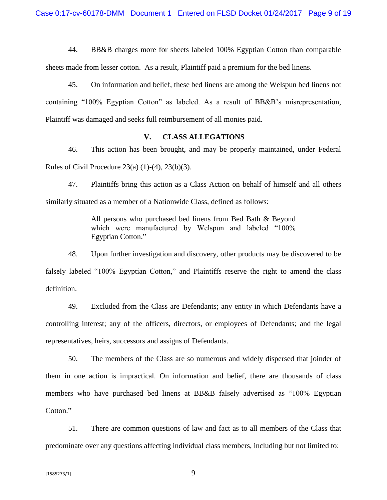44. BB&B charges more for sheets labeled 100% Egyptian Cotton than comparable

sheets made from lesser cotton. As a result, Plaintiff paid a premium for the bed linens.

45. On information and belief, these bed linens are among the Welspun bed linens not containing "100% Egyptian Cotton" as labeled. As a result of BB&B's misrepresentation, Plaintiff was damaged and seeks full reimbursement of all monies paid.

#### **V. CLASS ALLEGATIONS**

46. This action has been brought, and may be properly maintained, under Federal Rules of Civil Procedure  $23(a) (1)-(4)$ ,  $23(b)(3)$ .

47. Plaintiffs bring this action as a Class Action on behalf of himself and all others similarly situated as a member of a Nationwide Class, defined as follows:

> All persons who purchased bed linens from Bed Bath & Beyond which were manufactured by Welspun and labeled "100% Egyptian Cotton."

48. Upon further investigation and discovery, other products may be discovered to be falsely labeled "100% Egyptian Cotton," and Plaintiffs reserve the right to amend the class definition.

49. Excluded from the Class are Defendants; any entity in which Defendants have a controlling interest; any of the officers, directors, or employees of Defendants; and the legal representatives, heirs, successors and assigns of Defendants.

50. The members of the Class are so numerous and widely dispersed that joinder of them in one action is impractical. On information and belief, there are thousands of class members who have purchased bed linens at BB&B falsely advertised as "100% Egyptian Cotton."

51. There are common questions of law and fact as to all members of the Class that predominate over any questions affecting individual class members, including but not limited to: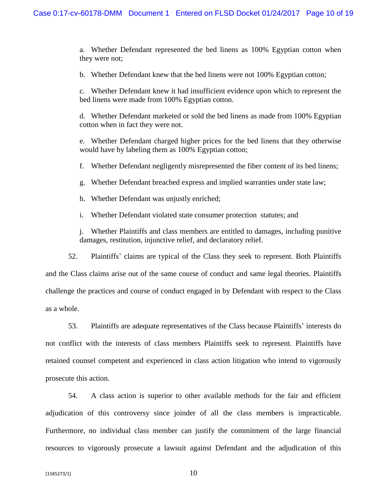a. Whether Defendant represented the bed linens as 100% Egyptian cotton when they were not;

b. Whether Defendant knew that the bed linens were not 100% Egyptian cotton;

c. Whether Defendant knew it had insufficient evidence upon which to represent the bed linens were made from 100% Egyptian cotton.

d. Whether Defendant marketed or sold the bed linens as made from 100% Egyptian cotton when in fact they were not.

e. Whether Defendant charged higher prices for the bed linens that they otherwise would have by labeling them as 100% Egyptian cotton;

f. Whether Defendant negligently misrepresented the fiber content of its bed linens;

g. Whether Defendant breached express and implied warranties under state law;

h. Whether Defendant was unjustly enriched;

i. Whether Defendant violated state consumer protection statutes; and

j. Whether Plaintiffs and class members are entitled to damages, including punitive damages, restitution, injunctive relief, and declaratory relief.

52. Plaintiffs' claims are typical of the Class they seek to represent. Both Plaintiffs

and the Class claims arise out of the same course of conduct and same legal theories. Plaintiffs challenge the practices and course of conduct engaged in by Defendant with respect to the Class as a whole.

53. Plaintiffs are adequate representatives of the Class because Plaintiffs' interests do not conflict with the interests of class members Plaintiffs seek to represent. Plaintiffs have retained counsel competent and experienced in class action litigation who intend to vigorously prosecute this action.

54. A class action is superior to other available methods for the fair and efficient adjudication of this controversy since joinder of all the class members is impracticable. Furthermore, no individual class member can justify the commitment of the large financial resources to vigorously prosecute a lawsuit against Defendant and the adjudication of this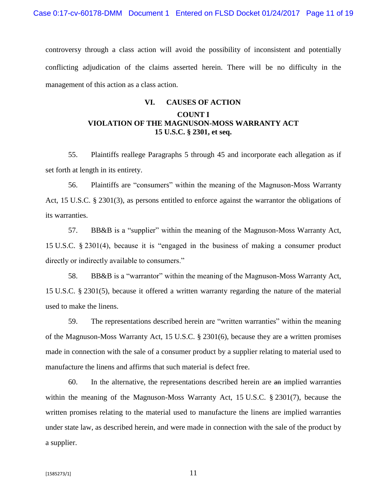controversy through a class action will avoid the possibility of inconsistent and potentially conflicting adjudication of the claims asserted herein. There will be no difficulty in the management of this action as a class action.

# **VI. CAUSES OF ACTION COUNT I VIOLATION OF THE MAGNUSON-MOSS WARRANTY ACT**

55. Plaintiffs reallege Paragraphs 5 through 45 and incorporate each allegation as if set forth at length in its entirety.

**15 U.S.C. § 2301, et seq.**

56. Plaintiffs are "consumers" within the meaning of the Magnuson-Moss Warranty Act, 15 U.S.C. § 2301(3), as persons entitled to enforce against the warrantor the obligations of its warranties.

57. BB&B is a "supplier" within the meaning of the Magnuson-Moss Warranty Act, 15 U.S.C. § 2301(4), because it is "engaged in the business of making a consumer product directly or indirectly available to consumers."

58. BB&B is a "warrantor" within the meaning of the Magnuson-Moss Warranty Act, 15 U.S.C. § 2301(5), because it offered a written warranty regarding the nature of the material used to make the linens.

59. The representations described herein are "written warranties" within the meaning of the Magnuson-Moss Warranty Act, 15 U.S.C. § 2301(6), because they are a written promises made in connection with the sale of a consumer product by a supplier relating to material used to manufacture the linens and affirms that such material is defect free.

60. In the alternative, the representations described herein are an implied warranties within the meaning of the Magnuson-Moss Warranty Act, 15 U.S.C. § 2301(7), because the written promises relating to the material used to manufacture the linens are implied warranties under state law, as described herein, and were made in connection with the sale of the product by a supplier.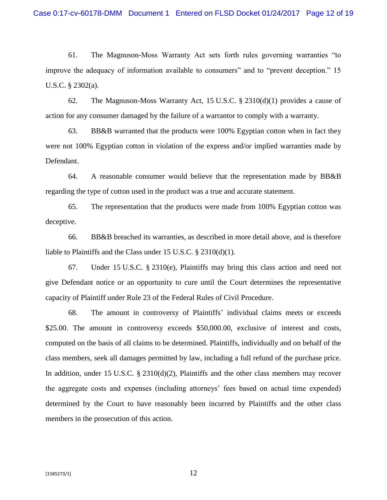61. The Magnuson-Moss Warranty Act sets forth rules governing warranties "to improve the adequacy of information available to consumers" and to "prevent deception." 15 U.S.C. § 2302(a).

62. The Magnuson-Moss Warranty Act, 15 U.S.C. § 2310(d)(1) provides a cause of action for any consumer damaged by the failure of a warrantor to comply with a warranty.

63. BB&B warranted that the products were 100% Egyptian cotton when in fact they were not 100% Egyptian cotton in violation of the express and/or implied warranties made by Defendant.

64. A reasonable consumer would believe that the representation made by BB&B regarding the type of cotton used in the product was a true and accurate statement.

65. The representation that the products were made from 100% Egyptian cotton was deceptive.

66. BB&B breached its warranties, as described in more detail above, and is therefore liable to Plaintiffs and the Class under 15 U.S.C. § 2310(d)(1).

67. Under 15 U.S.C. § 2310(e), Plaintiffs may bring this class action and need not give Defendant notice or an opportunity to cure until the Court determines the representative capacity of Plaintiff under Rule 23 of the Federal Rules of Civil Procedure.

68. The amount in controversy of Plaintiffs' individual claims meets or exceeds \$25.00. The amount in controversy exceeds \$50,000.00, exclusive of interest and costs, computed on the basis of all claims to be determined. Plaintiffs, individually and on behalf of the class members, seek all damages permitted by law, including a full refund of the purchase price. In addition, under 15 U.S.C. § 2310(d)(2), Plaintiffs and the other class members may recover the aggregate costs and expenses (including attorneys' fees based on actual time expended) determined by the Court to have reasonably been incurred by Plaintiffs and the other class members in the prosecution of this action.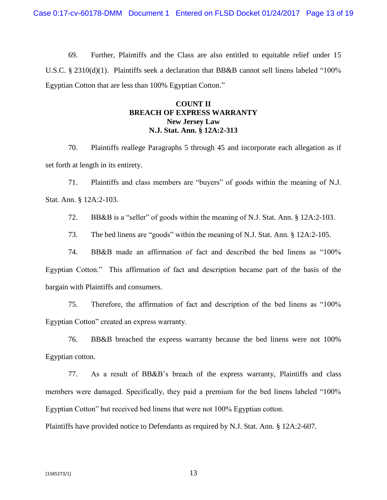69. Further, Plaintiffs and the Class are also entitled to equitable relief under 15 U.S.C. § 2310(d)(1). Plaintiffs seek a declaration that BB&B cannot sell linens labeled "100% Egyptian Cotton that are less than 100% Egyptian Cotton."

# **COUNT II BREACH OF EXPRESS WARRANTY New Jersey Law N.J. Stat. Ann. § 12A:2-313**

70. Plaintiffs reallege Paragraphs 5 through 45 and incorporate each allegation as if set forth at length in its entirety.

71. Plaintiffs and class members are "buyers" of goods within the meaning of N.J. Stat. Ann. § 12A:2-103.

72. BB&B is a "seller" of goods within the meaning of N.J. Stat. Ann. § 12A:2-103.

73. The bed linens are "goods" within the meaning of N.J. Stat. Ann. § 12A:2-105.

74. BB&B made an affirmation of fact and described the bed linens as "100% Egyptian Cotton." This affirmation of fact and description became part of the basis of the bargain with Plaintiffs and consumers.

75. Therefore, the affirmation of fact and description of the bed linens as "100% Egyptian Cotton" created an express warranty.

76. BB&B breached the express warranty because the bed linens were not 100% Egyptian cotton.

77. As a result of BB&B's breach of the express warranty, Plaintiffs and class members were damaged. Specifically, they paid a premium for the bed linens labeled "100% Egyptian Cotton" but received bed linens that were not 100% Egyptian cotton.

Plaintiffs have provided notice to Defendants as required by N.J. Stat. Ann. § 12A:2-607.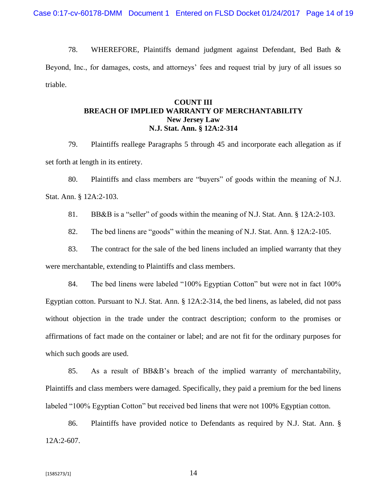78. WHEREFORE, Plaintiffs demand judgment against Defendant, Bed Bath & Beyond, Inc., for damages, costs, and attorneys' fees and request trial by jury of all issues so triable.

# **COUNT III BREACH OF IMPLIED WARRANTY OF MERCHANTABILITY New Jersey Law N.J. Stat. Ann. § 12A:2-314**

79. Plaintiffs reallege Paragraphs 5 through 45 and incorporate each allegation as if set forth at length in its entirety.

80. Plaintiffs and class members are "buyers" of goods within the meaning of N.J. Stat. Ann. § 12A:2-103.

81. BB&B is a "seller" of goods within the meaning of N.J. Stat. Ann. § 12A:2-103.

82. The bed linens are "goods" within the meaning of N.J. Stat. Ann. § 12A:2-105.

83. The contract for the sale of the bed linens included an implied warranty that they were merchantable, extending to Plaintiffs and class members.

84. The bed linens were labeled "100% Egyptian Cotton" but were not in fact 100% Egyptian cotton. Pursuant to N.J. Stat. Ann. § 12A:2-314, the bed linens, as labeled, did not pass without objection in the trade under the contract description; conform to the promises or affirmations of fact made on the container or label; and are not fit for the ordinary purposes for which such goods are used.

85. As a result of BB&B's breach of the implied warranty of merchantability, Plaintiffs and class members were damaged. Specifically, they paid a premium for the bed linens labeled "100% Egyptian Cotton" but received bed linens that were not 100% Egyptian cotton.

86. Plaintiffs have provided notice to Defendants as required by N.J. Stat. Ann. § 12A:2-607.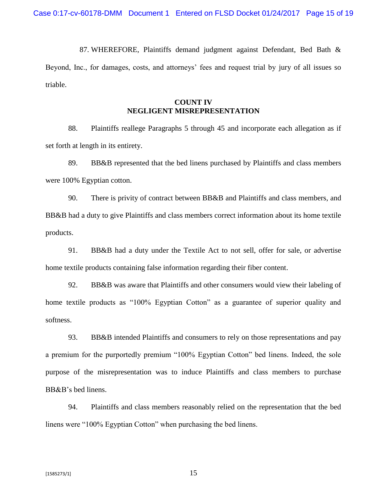87. WHEREFORE, Plaintiffs demand judgment against Defendant, Bed Bath & Beyond, Inc., for damages, costs, and attorneys' fees and request trial by jury of all issues so triable.

# **COUNT IV NEGLIGENT MISREPRESENTATION**

88. Plaintiffs reallege Paragraphs 5 through 45 and incorporate each allegation as if set forth at length in its entirety.

89. BB&B represented that the bed linens purchased by Plaintiffs and class members were 100% Egyptian cotton.

90. There is privity of contract between BB&B and Plaintiffs and class members, and BB&B had a duty to give Plaintiffs and class members correct information about its home textile products.

91. BB&B had a duty under the Textile Act to not sell, offer for sale, or advertise home textile products containing false information regarding their fiber content.

92. BB&B was aware that Plaintiffs and other consumers would view their labeling of home textile products as "100% Egyptian Cotton" as a guarantee of superior quality and softness.

93. BB&B intended Plaintiffs and consumers to rely on those representations and pay a premium for the purportedly premium "100% Egyptian Cotton" bed linens. Indeed, the sole purpose of the misrepresentation was to induce Plaintiffs and class members to purchase BB&B's bed linens.

94. Plaintiffs and class members reasonably relied on the representation that the bed linens were "100% Egyptian Cotton" when purchasing the bed linens.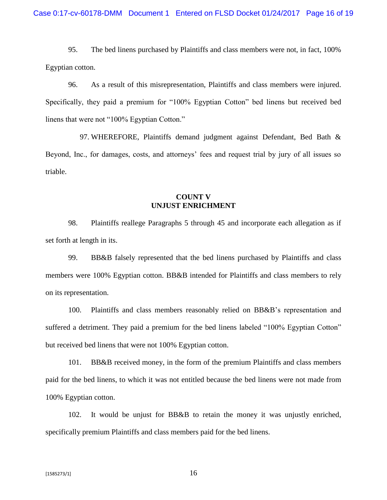95. The bed linens purchased by Plaintiffs and class members were not, in fact, 100% Egyptian cotton.

96. As a result of this misrepresentation, Plaintiffs and class members were injured. Specifically, they paid a premium for "100% Egyptian Cotton" bed linens but received bed linens that were not "100% Egyptian Cotton."

97. WHEREFORE, Plaintiffs demand judgment against Defendant, Bed Bath & Beyond, Inc., for damages, costs, and attorneys' fees and request trial by jury of all issues so triable.

# **COUNT V UNJUST ENRICHMENT**

98. Plaintiffs reallege Paragraphs 5 through 45 and incorporate each allegation as if set forth at length in its.

99. BB&B falsely represented that the bed linens purchased by Plaintiffs and class members were 100% Egyptian cotton. BB&B intended for Plaintiffs and class members to rely on its representation.

100. Plaintiffs and class members reasonably relied on BB&B's representation and suffered a detriment. They paid a premium for the bed linens labeled "100% Egyptian Cotton" but received bed linens that were not 100% Egyptian cotton.

101. BB&B received money, in the form of the premium Plaintiffs and class members paid for the bed linens, to which it was not entitled because the bed linens were not made from 100% Egyptian cotton.

102. It would be unjust for BB&B to retain the money it was unjustly enriched, specifically premium Plaintiffs and class members paid for the bed linens.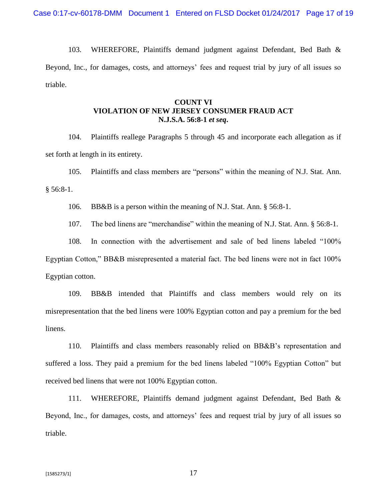103. WHEREFORE, Plaintiffs demand judgment against Defendant, Bed Bath & Beyond, Inc., for damages, costs, and attorneys' fees and request trial by jury of all issues so triable.

# **COUNT VI VIOLATION OF NEW JERSEY CONSUMER FRAUD ACT N.J.S.A. 56:8-1** *et seq***.**

104. Plaintiffs reallege Paragraphs 5 through 45 and incorporate each allegation as if set forth at length in its entirety.

105. Plaintiffs and class members are "persons" within the meaning of N.J. Stat. Ann.

 $§ 56:8-1.$ 

106. BB&B is a person within the meaning of N.J. Stat. Ann. § 56:8-1.

107. The bed linens are "merchandise" within the meaning of N.J. Stat. Ann. § 56:8-1.

108. In connection with the advertisement and sale of bed linens labeled "100% Egyptian Cotton," BB&B misrepresented a material fact. The bed linens were not in fact 100% Egyptian cotton.

109. BB&B intended that Plaintiffs and class members would rely on its misrepresentation that the bed linens were 100% Egyptian cotton and pay a premium for the bed linens.

110. Plaintiffs and class members reasonably relied on BB&B's representation and suffered a loss. They paid a premium for the bed linens labeled "100% Egyptian Cotton" but received bed linens that were not 100% Egyptian cotton.

111. WHEREFORE, Plaintiffs demand judgment against Defendant, Bed Bath & Beyond, Inc., for damages, costs, and attorneys' fees and request trial by jury of all issues so triable.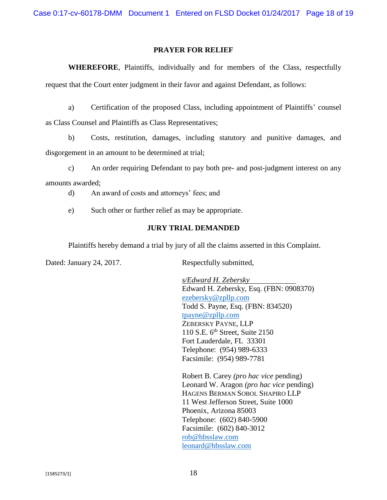## **PRAYER FOR RELIEF**

**WHEREFORE**, Plaintiffs, individually and for members of the Class, respectfully request that the Court enter judgment in their favor and against Defendant, as follows:

a) Certification of the proposed Class, including appointment of Plaintiffs' counsel as Class Counsel and Plaintiffs as Class Representatives;

b) Costs, restitution, damages, including statutory and punitive damages, and disgorgement in an amount to be determined at trial;

c) An order requiring Defendant to pay both pre- and post-judgment interest on any amounts awarded;

- d) An award of costs and attorneys' fees; and
- e) Such other or further relief as may be appropriate.

#### **JURY TRIAL DEMANDED**

Plaintiffs hereby demand a trial by jury of all the claims asserted in this Complaint.

Dated: January 24, 2017. Respectfully submitted,

*s/Edward H. Zebersky* Edward H. Zebersky, Esq. (FBN: 0908370) [ezebersky@zpllp.com](mailto:ezebersky@zpllp.com) Todd S. Payne, Esq. (FBN: 834520) [tpayne@zpllp.com](mailto:tpayne@zpllp.com) ZEBERSKY PAYNE, LLP 110 S.E.  $6<sup>th</sup>$  Street, Suite 2150 Fort Lauderdale, FL 33301 Telephone: (954) 989-6333 Facsimile: (954) 989-7781

Robert B. Carey *(pro hac vice* pending) Leonard W. Aragon *(pro hac vice* pending) HAGENS BERMAN SOBOL SHAPIRO LLP 11 West Jefferson Street, Suite 1000 Phoenix, Arizona 85003 Telephone: (602) 840-5900 Facsimile: (602) 840-3012 [rob@hbsslaw.com](mailto:rob@hbsslaw.com) [leonard@hbsslaw.com](mailto:leonard@hbsslaw.com)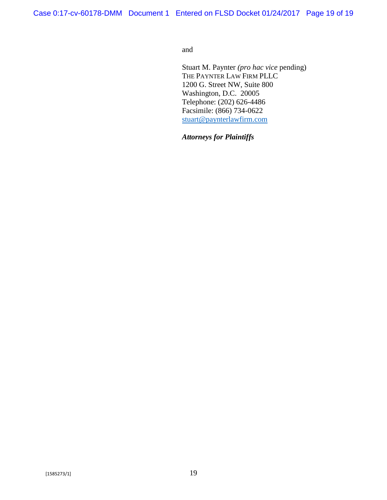and

Stuart M. Paynter *(pro hac vice* pending) THE PAYNTER LAW FIRM PLLC 1200 G. Street NW, Suite 800 Washington, D.C. 20005 Telephone: (202) 626-4486 Facsimile: (866) 734-0622 [stuart@paynterlawfirm.com](mailto:stuart@paynterlawfirm.com)

*Attorneys for Plaintiffs*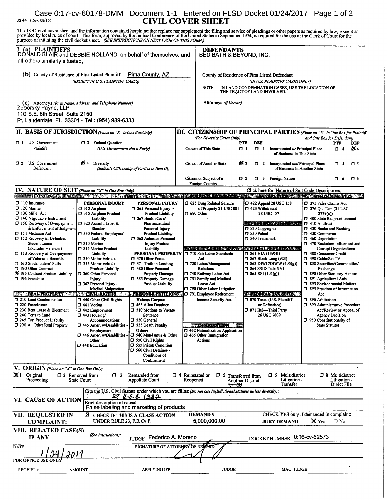# Case 0:17-cv-60178-DMM Document 1-1 Entered on FLSD Docket 01/24/2017 Page 1 of 2  $J$ S 44 (Rev, 08/16) CIVIL COVER SHEET

The JS 44 civil cover sheet and the information contained herein neither replace nor supplement the filing and service of pleadings or other papers as required by law, except as provided by local rules of court. This form,

| I. (a) PLAINTIFFS<br>DONALD BLAIR and DEBBIE HOLLAND, on behalf of themselves, and<br>all others similarly situated,                                                  |                                                        |                                                                                                                |                                      | <b>DEFENDANTS</b><br>BED BATH & BEYOND, INC.                                                                                                                            |                  |                                                                                       |                                                                                     |                         |
|-----------------------------------------------------------------------------------------------------------------------------------------------------------------------|--------------------------------------------------------|----------------------------------------------------------------------------------------------------------------|--------------------------------------|-------------------------------------------------------------------------------------------------------------------------------------------------------------------------|------------------|---------------------------------------------------------------------------------------|-------------------------------------------------------------------------------------|-------------------------|
| (b) County of Residence of First Listed Plaintiff<br>Pima County, AZ<br>(EXCEPT IN U.S. PLAINTIFF CASES)                                                              |                                                        |                                                                                                                |                                      | County of Residence of First Listed Defendant<br>(IN U.S. PLAINTIFF CASES ONLY)<br>IN LAND CONDEMNATION CASES, USE THE LOCATION OF THE TRACT OF LAND INVOLVED.<br>NOTE: |                  |                                                                                       |                                                                                     |                         |
| (C) Attorneys (Firm Name, Address, and Telephone Number)<br>Zebérsky Payne, LLP<br>110 S.E. 6th Street, Suite 2150<br>Ft. Lauderdale, FL 33301 - Tel.: (954) 989-6333 |                                                        |                                                                                                                |                                      | Attorneys (If Known)                                                                                                                                                    |                  |                                                                                       |                                                                                     |                         |
| II. BASIS OF JURISDICTION (Place an "X" in One Box Only)                                                                                                              |                                                        |                                                                                                                |                                      |                                                                                                                                                                         |                  |                                                                                       | <b>III. CITIZENSHIP OF PRINCIPAL PARTIES</b> (Place an "X" in One Box for Plaintiff |                         |
| U.S. Government<br>σι<br>Plaintiff                                                                                                                                    | CJ 3 Federal Question<br>(U.S. Government Not a Party) |                                                                                                                |                                      | (For Diversity Cases Only)<br>Citizen of This State                                                                                                                     | PTF<br>$\Box$ 1  | DEF<br>0 <sub>1</sub><br>Incorporated or Principal Place<br>of Business In This State | and One Box for Defendant)<br><b>PTF</b><br>$\sigma$ 4                              | <b>DEF</b><br><b>74</b> |
| 1 2 U.S. Government<br>Defendant                                                                                                                                      | $64$ Diversity                                         | (Indicate Citizenship of Parties in Item III)                                                                  |                                      | Citizen of Another State                                                                                                                                                | OK 2             | $\Box$ 2<br>Incorporated and Principal Place<br>of Business In Another State          | O S                                                                                 | $\Box$ 5                |
|                                                                                                                                                                       |                                                        |                                                                                                                |                                      | Citizen or Subject of a<br><b>Foreign Country</b>                                                                                                                       | O 3              | 1 3 Foreign Nation                                                                    | O 6                                                                                 | $\Box$ 6                |
| IV. NATURE OF SUIT (Place an "X" in One Box Only)                                                                                                                     |                                                        |                                                                                                                |                                      |                                                                                                                                                                         |                  | Click here for: Nature of Suit Code Descriptions.                                     |                                                                                     |                         |
| <b>→ 中国のNTM の内容 → 中国 は本当直接の地震を使っている。今回の日本の場所では、その時間の中に対することにより、その時間の中国の地震をNN ではっているがあります。その中国の中国の中国</b><br>110 Insurance                                              | PERSONAL INJURY                                        | <b>PERSONAL INJURY</b>                                                                                         |                                      | □ 625 Drug Related Seizure                                                                                                                                              |                  | $\Box$ 422 Appeal 28 USC 158                                                          | 1 375 False Claims Act                                                              |                         |
| $\square$ 120 Marine<br>□ 130 Miller Act                                                                                                                              | □ 310 Airplane<br><b>315 Airplane Product</b>          | 365 Personal Injury -<br><b>Product Liability</b>                                                              | $\Box$ 690 Other                     | of Property 21 USC 881                                                                                                                                                  |                  | □ 423 Withdrawal<br>28 USC 157                                                        | 1376 Qui Tam (31 USC<br>3729(a)                                                     |                         |
| 0 140 Negotiable Instrument                                                                                                                                           | Liability                                              | 7 367 Health Care/                                                                                             |                                      |                                                                                                                                                                         |                  |                                                                                       | 1 400 State Reapportionment                                                         |                         |
| □ 150 Recovery of Overpayment<br>& Enforcement of Judgment.                                                                                                           | □ 320 Assault, Libel &<br>Slander                      | Pharmaceutical<br>Personal Injury                                                                              |                                      |                                                                                                                                                                         |                  | <b>A ROR REMARKITIVA</b><br>7 820 Copyrights                                          | 7 410 Antitrust<br>1 430 Banks and Banking                                          |                         |
| 151 Medicare Act<br>152 Recovery of Defaulted                                                                                                                         | 330 Federal Employers'<br>Liability                    | <b>Product Liability</b><br><b>J</b> 368 Asbestos Personal                                                     |                                      |                                                                                                                                                                         | D 830 Patent     | 340 Trademark                                                                         | D 450 Commerce<br>1 460 Deportation                                                 |                         |
| Student Loans                                                                                                                                                         | □ 340 Marine<br>1 345 Marine Product                   | <b>Injury Product</b>                                                                                          |                                      |                                                                                                                                                                         |                  |                                                                                       | 470 Racketeer Influenced and                                                        |                         |
| (Excludes Veterans)<br>$\Box$ 153 Recovery of Overpayment                                                                                                             | Liability                                              | Liability<br>PERSONAL PROPERTY                                                                                 |                                      | 710 Fair Labor Standards                                                                                                                                                |                  | <b>NA SERIE A LOUIS SERIES SECOND RATCH ADAPTED</b><br>□ 861 HIA (1395ff)             | Corrupt Organizations<br>480 Consumer Credit                                        |                         |
| of Veteran's Benefits<br>160 Stockholders' Suits                                                                                                                      | 350 Motor Vehicle<br>355 Motor Vehicle                 | 1 370 Other Fraud<br>371 Truth in Lending                                                                      |                                      | Act<br>720 Labor/Management                                                                                                                                             |                  | 13 862 Black Lung (923)<br>$\Box$ 863 DIWC/DIWW (405(g))                              | 1 490 Cable/Sat TV<br>650 Securities/Commodities/                                   |                         |
| 190 Other Contract                                                                                                                                                    | <b>Product Liability</b>                               | 380 Other Personal                                                                                             |                                      | Relations                                                                                                                                                               |                  | $\Box$ 864 SSID Title XVI                                                             | Exchange                                                                            |                         |
| 25 195 Contract Product Liability<br><b>J</b> 196 Franchise                                                                                                           | 7 360 Other Personal<br>Injury                         | Property Damage<br>□ 385 Property Damage                                                                       |                                      | 740 Railway Labor Act<br>751 Family and Medical                                                                                                                         |                  | $\Box$ 865 RSI (405(g))                                                               | 7 890 Other Statutory Actions<br>7 891 Agricultural Acts                            |                         |
|                                                                                                                                                                       | 7 362 Personal Injury -<br><b>Medical Malpractice</b>  | <b>Product Liability</b>                                                                                       |                                      | Leave Act<br>790 Other Labor Litigation                                                                                                                                 |                  |                                                                                       | 5 893 Environmental Matters<br>1 895 Freedom of Information                         |                         |
| <b>THE REAL PROPERTY</b>                                                                                                                                              | <b>QVILARICHTS</b>                                     | <b>JARRON ARA-TATIONS</b>                                                                                      |                                      | 791 Employee Retirement                                                                                                                                                 |                  | RESIDENT WAS STREET                                                                   | Act                                                                                 |                         |
| □ 210 Land Condemnation<br>720 Foreclosure                                                                                                                            | CJ 440 Other Civil Rights<br>$\Box$ 441 Voting         | <b>Habeas Corpus:</b><br><b>J</b> 463 Alien Detainee                                                           |                                      | Income Security Act                                                                                                                                                     |                  | 7 870 Taxes (U.S. Plaintiff<br>or Defendant)                                          | <b>396 Arbitration</b><br>□ 899 Administrative Procedure                            |                         |
| 7 230 Rent Lease & Ejectment<br>7 240 Torts to Land                                                                                                                   | □ 442 Employment<br>□ 443 Housing/                     | 510 Motions to Vacate<br>Sentence                                                                              |                                      |                                                                                                                                                                         |                  | 7 871 IRS-Third Party<br>26 USC 7609                                                  | Act/Review or Appeal of<br>Agency Decision                                          |                         |
| 7 245 Tort Product Liability                                                                                                                                          | Accommodations                                         | CI 530 General                                                                                                 |                                      |                                                                                                                                                                         |                  |                                                                                       | 7 950 Constitutionality of                                                          |                         |
| 7 290 All Other Real Property                                                                                                                                         | 445 Amer. w/Disabilities -<br>Employment               | J 535 Death Penalty<br>Other:                                                                                  |                                      | <b>EMMIGRATION COM</b><br>7 462 Naturalization Application                                                                                                              |                  |                                                                                       | <b>State Statutes</b>                                                               |                         |
|                                                                                                                                                                       | 446 Amer. w/Disabilities<br>Other<br>□ 448 Education   | 1 540 Mandamus & Other<br>□ 550 Civil Rights<br>555 Prison Condition<br>560 Civil Detainee -<br>Conditions of  |                                      | $\Box$ 465 Other Immigration<br>Actions                                                                                                                                 |                  |                                                                                       |                                                                                     |                         |
|                                                                                                                                                                       |                                                        | Confinement                                                                                                    |                                      |                                                                                                                                                                         |                  |                                                                                       |                                                                                     |                         |
| V. ORIGIN (Place an "X" in One Box Only)<br>$\mathbb{X}$ 1 Original<br>Proceeding                                                                                     | $\Box$ 2 Removed from<br>$\Box$ 3<br>State Court       | Remanded from<br>Appellate Court                                                                               | <b>1</b> 4 Reinstated or<br>Reopened | $\Box$ 5 Transferred from                                                                                                                                               | Another District | Multidistrict<br>O 6<br>Litigation -                                                  | <b>3</b> Multidistrict<br>Litigation -                                              |                         |
|                                                                                                                                                                       |                                                        | Cite the U.S. Civil Statute under which you are filing (Do not cite jurisdictional statutes unless diversity): |                                      | (specify)                                                                                                                                                               |                  | Transfer                                                                              | Direct File                                                                         |                         |
| VI. CAUSE OF ACTION                                                                                                                                                   | <b>Brief description of cause:</b>                     | 28 U.S.L. 1332<br>False labeling and marketing of products                                                     |                                      |                                                                                                                                                                         |                  |                                                                                       |                                                                                     |                         |
| VII. REQUESTED IN<br><b>COMPLAINT:</b>                                                                                                                                | ⊠<br>UNDER RULE 23, F.R.Cv.P.                          | CHECK IF THIS IS A CLASS ACTION                                                                                |                                      | <b>DEMANDS</b><br>5,000,000.00                                                                                                                                          |                  | <b>JURY DEMAND:</b>                                                                   | CHECK YES only if demanded in complaint:<br><b>X</b> Yes<br>□ No                    |                         |
| VIII. RELATED CASE(S)<br>IF ANY                                                                                                                                       | (See instructions):                                    | JUDGE Federico A. Moreno                                                                                       |                                      |                                                                                                                                                                         |                  | <b>DOCKET NUMBER</b>                                                                  | 0:16-cv-62573                                                                       |                         |
| DATE                                                                                                                                                                  |                                                        | SIGNATURE OF ATTORNEY OF RECORD                                                                                |                                      |                                                                                                                                                                         |                  |                                                                                       |                                                                                     |                         |
| <b>FOR OFFICE</b>                                                                                                                                                     | 1017                                                   |                                                                                                                |                                      |                                                                                                                                                                         |                  |                                                                                       |                                                                                     |                         |
| RECEIPT#                                                                                                                                                              | <b>AMOUNT</b>                                          | APPLYING IFP                                                                                                   |                                      | <b>JUDGE</b>                                                                                                                                                            |                  | MAG. JUDGE                                                                            |                                                                                     |                         |
|                                                                                                                                                                       |                                                        |                                                                                                                |                                      |                                                                                                                                                                         |                  |                                                                                       |                                                                                     |                         |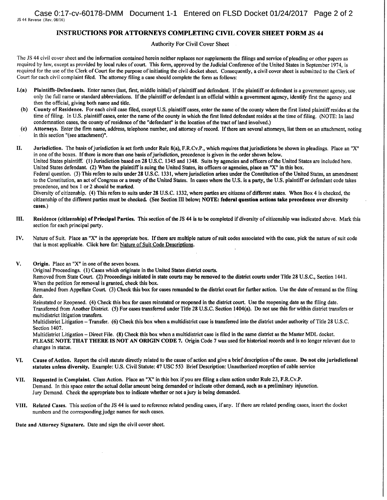#### INSTRUCTIONS FOR ATTORNEYS COMPLETING CIVIL COVER SHEET FORM JS 44

Authority For Civil Cover Sheet

The JS <sup>44</sup> civil cover sheet and the information contained herein neither replaces nor supplements the filings and service of pleading or other papers as required by law, except as provided by local rules of court. This form, approved by the Judicial Conference of the United States in September 1974, is required for the use of the Clerk of Court for the purpose of initiating the civil docket sheet. Consequently, <sup>a</sup> civil cover sheet is submitted to the Clerk of Court for each civil complaint filed. The attorney filing <sup>a</sup> case should complete the form as follows:

- L(a) Plaintiffs-Defendants. Enter names (last, first, middle initial) ofplaintiff and defendant. Ifthe plaintiff or defendant is <sup>a</sup> government agency, use only the full name or standard abbreviations. Ifthe plaintiff or defendant is an official within <sup>a</sup> government agency, identify first the agency and then the official, giving both name and title.
- (b) County of Residence. For each civil case filed, except U.S. plaintiff cases, enter the name of the county where the first listed plaintiff resides at the time of filing. In U.S. plaintiff cases, enter the name of the county in which the first listed defendant resides at the time of filing. (NOTE: In land condemnation cases, the county of residence of the "defendant" is the location of the tract of land involved.)
- (c) Attorneys. Enter the firm name, address, telephone number, and attorney of record. Ifthere are several attorneys, list them on an attachment, noting in this section "(see attachment)".

II. Jurisdiction. The basis ofjurisdiction is set forth under Rule 8(a), F.R.Cv.P., which requires that jurisdictions be shown in pleadings. Place an "X" in one of the boxes. If there is more than one basis of jurisdiction, precedence is given in the order shown below. United States plaintiff. (1) Jurisdiction based on <sup>28</sup> U.S.C. <sup>1345</sup> and 1348. Suits by agencies and officers ofthe United States are included here. United States defendant. (2) When the plaintiff is suing the United States, its officers or agencies, place an "X" in this box. Federal question. (3) This refers to suits under <sup>28</sup> U.S.C. 1331, where jurisdiction arises under the Constitution of the United States, an amendment to the Constitution, an act ofCongress or <sup>a</sup> treaty of the United States. In cases where the U.S. is <sup>a</sup> party, the U.S. plaintiff or defendant code takes precedence, and box <sup>1</sup> or 2 should be marked. Diversity of citizenship. (4) This refers to suits under <sup>28</sup> U.S.C. 1332, where parties are citizens of different states. When Box <sup>4</sup> is checked, the citizenship of the different parties must be checked. (See Section III below; NOTE: federal question actions take precedence over diversity cases.)

- III. Residence (citizenship) ofPrincipal Parties. This section of the JS <sup>44</sup> is to be completed ifdiversity of citizenship was indicated above, Mark this section for each principal party,
- IV. Nature of Suit. Place an "X" in the appropriate box. Ifthere are multiple nature of suit codes associated with the case, pick the nature of suit code that is most applicable. Click here for: Nature of Suit Code Descriptions.
- $V.$  Origin. Place an "X" in one of the seven boxes.

Original Proceedings. (1) Cases which originate in the United States district courts.

Removed from State Court. (2) Proceedings initiated in state courts may be removed to the district courts under Title 28 U.S.C., Section 1441. When the petition for removal is granted, check this box.

Remanded from Appellate Court. (3) Check this box for cases remanded to the district court for further action. Use the date of remand as the filing date.

Reinstated or Reopened. (4) Check this box for cases reinstated or reopened in the district court. Use the reopening date as the filing date. Transferred from Another District, (5) For cases transferred under Title 28 U.S.C. Section 1404(a). Do not use this for within district transfers or multidistrict litigation transfers.

Multidistrict Litigation - Transfer. (6) Check this box when a multidistrict case is transferred into the district under authority of Title 28 U.S.C. Section 1407,

Multidistrict Litigation – Direct File. (8) Check this box when a multidistrict case is filed in the same district as the Master MDL docket. PLEASE NOTE THAT THERE IS NOT AN ORIGIN CODE 7. Origin Code 7 was used for historical records and is no longer relevant due to changes in statue,

- VI. Cause of Action. Report the civil statute directly related to the cause of action and give a brief description of the cause. Do not cite jurisdictional statutes unless diversity. Example: U.S. Civil Statute: <sup>47</sup> USC <sup>553</sup> Brief Description: Unauthorized reception of cable service
- VII, Requested in Complaint. Class Action. Place an "X" in this box if you are filing <sup>a</sup> class action under Rule 23, F.R.Cv.P, Demand. In this space enter the actual dollar amount being demanded or indicate other demand, such as a preliminary injunction. Jury Demand. Check the appropriate box to indicate whether or not <sup>a</sup> jury is being demanded,
- VIII. Related Cases. This section of the JS <sup>44</sup> is used to reference related pending cases, ifany. Ifthere are related pending cases, insert the docket numbers and the corresponding judge names for such cases.

Date and Attorney Signature. Date and sign the civil cover sheet,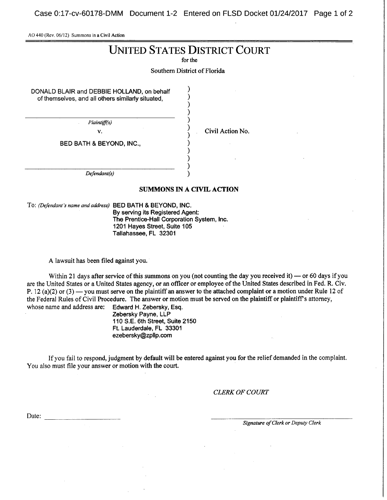Case 0:17-cv-60178-DMM Document 1-2 Entered on FLSD Docket 01/24/2017 Page 1 of 2

AO 440 (Rev. 06/12) Summons in <sup>a</sup> Civil Action

# UNITED STATES DISTRICT COURT

for the

Southern District of Florida

DONALD BLAIR and DEBBIE HOLLAND, on behalf of themselves, and all others similarly situated,

Plaintiff(s)

v. Civil Action No.

BED BATH & BEYOND, INC.,

Defendant(s)

#### SUMMONS IN A CIVIL ACTION

To: (Defendant's name and address) BED BATH & BEYOND, INC. By serving its Registered Agent: The Prentice-Hall Corporation System, Inc. 1201 Hayes Street, Suite 105 Tallahassee, FL 32301

A lawsuit has been filed against you.

Within 21 days after service of this summons on you (not counting the day you received it) — or 60 days if you are the United States or <sup>a</sup> United States agency, or an officer or employee of the United States described in Fed. R. Civ. P. 12 (a)(2) or (3) — you must serve on the plaintiff an answer to the attached complaint or a motion under Rule 12 of the Federal Rules of Civil Procedure. The answer or motion must be served on the plaintiff or plaintiff's attorney, whose name and address are: Edward H. Zebersky, Esq. whose name and address are:

Zebersky Payne, LLP 110 S.E. 6th Street, Suite 2150 Ft. Lauderdale, FL 33301 ezebersky@zplIp.com

If you fail to respond, judgment by default will be entered against you for the relief demanded in the complaint. You also must file your answer or motion with the court.

CLERK OF COURT

Date:

Signature of Clerk or Deputy Clerk